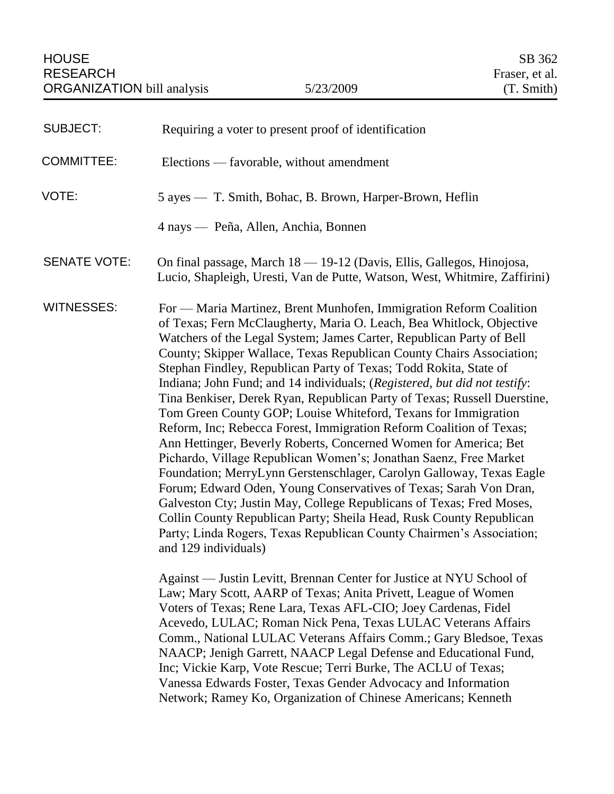| <b>SUBJECT:</b>     | Requiring a voter to present proof of identification                                                                                                                                                                                                                                                                                                                                                                                                                                                                                                                                                                                                                                                                                                                                                                                                                                                                                                                                                                                                                                                                                                                                                   |
|---------------------|--------------------------------------------------------------------------------------------------------------------------------------------------------------------------------------------------------------------------------------------------------------------------------------------------------------------------------------------------------------------------------------------------------------------------------------------------------------------------------------------------------------------------------------------------------------------------------------------------------------------------------------------------------------------------------------------------------------------------------------------------------------------------------------------------------------------------------------------------------------------------------------------------------------------------------------------------------------------------------------------------------------------------------------------------------------------------------------------------------------------------------------------------------------------------------------------------------|
| <b>COMMITTEE:</b>   | Elections — favorable, without amendment                                                                                                                                                                                                                                                                                                                                                                                                                                                                                                                                                                                                                                                                                                                                                                                                                                                                                                                                                                                                                                                                                                                                                               |
| VOTE:               | 5 ayes — T. Smith, Bohac, B. Brown, Harper-Brown, Heflin                                                                                                                                                                                                                                                                                                                                                                                                                                                                                                                                                                                                                                                                                                                                                                                                                                                                                                                                                                                                                                                                                                                                               |
|                     | 4 nays — Peña, Allen, Anchia, Bonnen                                                                                                                                                                                                                                                                                                                                                                                                                                                                                                                                                                                                                                                                                                                                                                                                                                                                                                                                                                                                                                                                                                                                                                   |
| <b>SENATE VOTE:</b> | On final passage, March 18 - 19-12 (Davis, Ellis, Gallegos, Hinojosa,<br>Lucio, Shapleigh, Uresti, Van de Putte, Watson, West, Whitmire, Zaffirini)                                                                                                                                                                                                                                                                                                                                                                                                                                                                                                                                                                                                                                                                                                                                                                                                                                                                                                                                                                                                                                                    |
| <b>WITNESSES:</b>   | For — Maria Martinez, Brent Munhofen, Immigration Reform Coalition<br>of Texas; Fern McClaugherty, Maria O. Leach, Bea Whitlock, Objective<br>Watchers of the Legal System; James Carter, Republican Party of Bell<br>County; Skipper Wallace, Texas Republican County Chairs Association;<br>Stephan Findley, Republican Party of Texas; Todd Rokita, State of<br>Indiana; John Fund; and 14 individuals; (Registered, but did not testify:<br>Tina Benkiser, Derek Ryan, Republican Party of Texas; Russell Duerstine,<br>Tom Green County GOP; Louise Whiteford, Texans for Immigration<br>Reform, Inc; Rebecca Forest, Immigration Reform Coalition of Texas;<br>Ann Hettinger, Beverly Roberts, Concerned Women for America; Bet<br>Pichardo, Village Republican Women's; Jonathan Saenz, Free Market<br>Foundation; MerryLynn Gerstenschlager, Carolyn Galloway, Texas Eagle<br>Forum; Edward Oden, Young Conservatives of Texas; Sarah Von Dran,<br>Galveston Cty; Justin May, College Republicans of Texas; Fred Moses,<br>Collin County Republican Party; Sheila Head, Rusk County Republican<br>Party; Linda Rogers, Texas Republican County Chairmen's Association;<br>and 129 individuals) |
|                     | Against — Justin Levitt, Brennan Center for Justice at NYU School of<br>Law; Mary Scott, AARP of Texas; Anita Privett, League of Women<br>Voters of Texas; Rene Lara, Texas AFL-CIO; Joey Cardenas, Fidel<br>Acevedo, LULAC; Roman Nick Pena, Texas LULAC Veterans Affairs<br>Comm., National LULAC Veterans Affairs Comm.; Gary Bledsoe, Texas<br>NAACP; Jenigh Garrett, NAACP Legal Defense and Educational Fund,<br>Inc; Vickie Karp, Vote Rescue; Terri Burke, The ACLU of Texas;<br>Vanessa Edwards Foster, Texas Gender Advocacy and Information<br>Network; Ramey Ko, Organization of Chinese Americans; Kenneth                                                                                                                                                                                                                                                                                                                                                                                                                                                                                                                                                                                |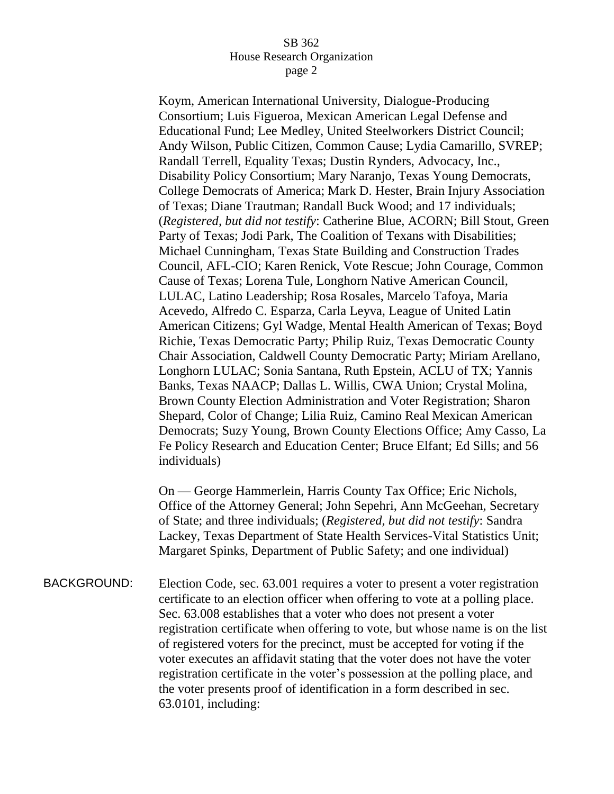Koym, American International University, Dialogue-Producing Consortium; Luis Figueroa, Mexican American Legal Defense and Educational Fund; Lee Medley, United Steelworkers District Council; Andy Wilson, Public Citizen, Common Cause; Lydia Camarillo, SVREP; Randall Terrell, Equality Texas; Dustin Rynders, Advocacy, Inc., Disability Policy Consortium; Mary Naranjo, Texas Young Democrats, College Democrats of America; Mark D. Hester, Brain Injury Association of Texas; Diane Trautman; Randall Buck Wood; and 17 individuals; (*Registered, but did not testify*: Catherine Blue, ACORN; Bill Stout, Green Party of Texas; Jodi Park, The Coalition of Texans with Disabilities; Michael Cunningham, Texas State Building and Construction Trades Council, AFL-CIO; Karen Renick, Vote Rescue; John Courage, Common Cause of Texas; Lorena Tule, Longhorn Native American Council, LULAC, Latino Leadership; Rosa Rosales, Marcelo Tafoya, Maria Acevedo, Alfredo C. Esparza, Carla Leyva, League of United Latin American Citizens; Gyl Wadge, Mental Health American of Texas; Boyd Richie, Texas Democratic Party; Philip Ruiz, Texas Democratic County Chair Association, Caldwell County Democratic Party; Miriam Arellano, Longhorn LULAC; Sonia Santana, Ruth Epstein, ACLU of TX; Yannis Banks, Texas NAACP; Dallas L. Willis, CWA Union; Crystal Molina, Brown County Election Administration and Voter Registration; Sharon Shepard, Color of Change; Lilia Ruiz, Camino Real Mexican American Democrats; Suzy Young, Brown County Elections Office; Amy Casso, La Fe Policy Research and Education Center; Bruce Elfant; Ed Sills; and 56 individuals)

On — George Hammerlein, Harris County Tax Office; Eric Nichols, Office of the Attorney General; John Sepehri, Ann McGeehan, Secretary of State; and three individuals; (*Registered, but did not testify*: Sandra Lackey, Texas Department of State Health Services-Vital Statistics Unit; Margaret Spinks, Department of Public Safety; and one individual)

BACKGROUND: Election Code, sec. 63.001 requires a voter to present a voter registration certificate to an election officer when offering to vote at a polling place. Sec. 63.008 establishes that a voter who does not present a voter registration certificate when offering to vote, but whose name is on the list of registered voters for the precinct, must be accepted for voting if the voter executes an affidavit stating that the voter does not have the voter registration certificate in the voter's possession at the polling place, and the voter presents proof of identification in a form described in sec. 63.0101, including: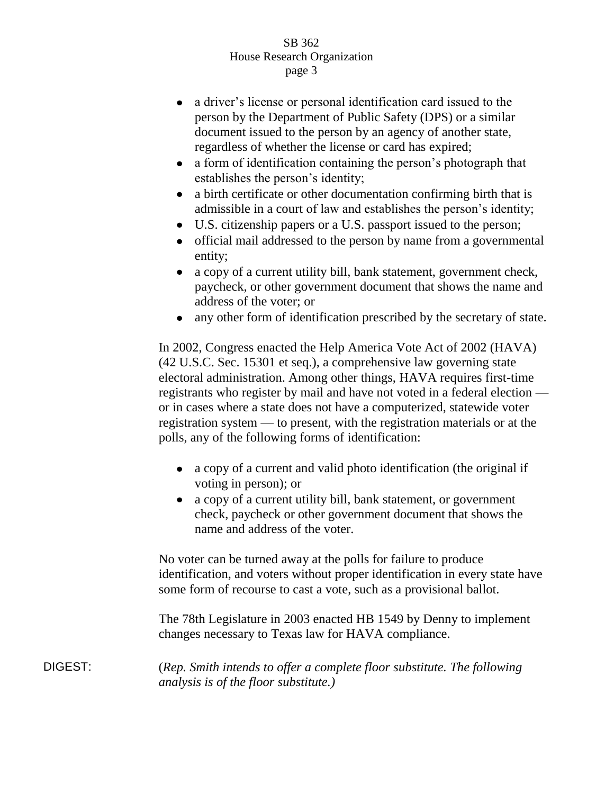- a driver's license or personal identification card issued to the  $\bullet$ person by the Department of Public Safety (DPS) or a similar document issued to the person by an agency of another state, regardless of whether the license or card has expired;
- a form of identification containing the person's photograph that establishes the person's identity;
- a birth certificate or other documentation confirming birth that is  $\bullet$ admissible in a court of law and establishes the person's identity;
- U.S. citizenship papers or a U.S. passport issued to the person;
- official mail addressed to the person by name from a governmental  $\bullet$ entity;
- $\bullet$ a copy of a current utility bill, bank statement, government check, paycheck, or other government document that shows the name and address of the voter; or
- any other form of identification prescribed by the secretary of state.

In 2002, Congress enacted the Help America Vote Act of 2002 (HAVA) (42 U.S.C. Sec. 15301 et seq.), a comprehensive law governing state electoral administration. Among other things, HAVA requires first-time registrants who register by mail and have not voted in a federal election or in cases where a state does not have a computerized, statewide voter registration system — to present, with the registration materials or at the polls, any of the following forms of identification:

- a copy of a current and valid photo identification (the original if voting in person); or
- a copy of a current utility bill, bank statement, or government check, paycheck or other government document that shows the name and address of the voter.

No voter can be turned away at the polls for failure to produce identification, and voters without proper identification in every state have some form of recourse to cast a vote, such as a provisional ballot.

The 78th Legislature in 2003 enacted HB 1549 by Denny to implement changes necessary to Texas law for HAVA compliance.

DIGEST: (*Rep. Smith intends to offer a complete floor substitute. The following analysis is of the floor substitute.)*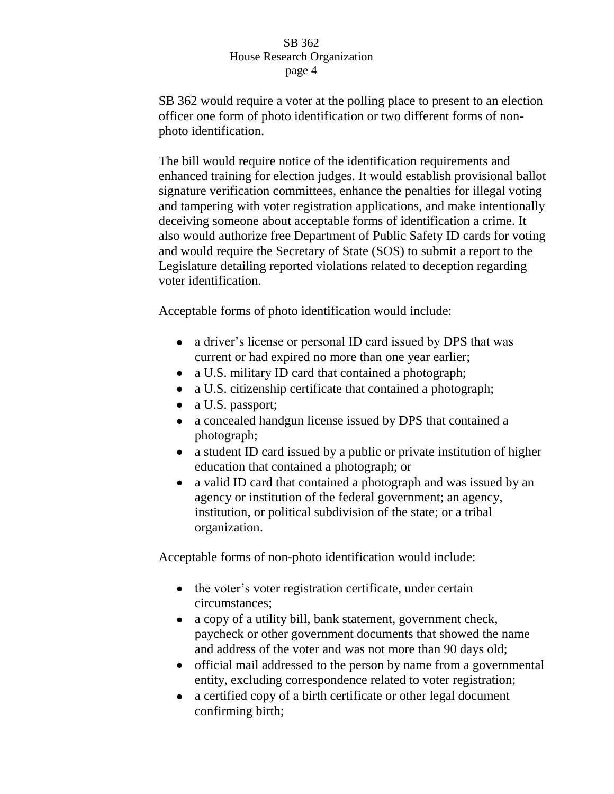SB 362 would require a voter at the polling place to present to an election officer one form of photo identification or two different forms of nonphoto identification.

The bill would require notice of the identification requirements and enhanced training for election judges. It would establish provisional ballot signature verification committees, enhance the penalties for illegal voting and tampering with voter registration applications, and make intentionally deceiving someone about acceptable forms of identification a crime. It also would authorize free Department of Public Safety ID cards for voting and would require the Secretary of State (SOS) to submit a report to the Legislature detailing reported violations related to deception regarding voter identification.

Acceptable forms of photo identification would include:

- a driver's license or personal ID card issued by DPS that was current or had expired no more than one year earlier;
- a U.S. military ID card that contained a photograph;  $\bullet$
- a U.S. citizenship certificate that contained a photograph;  $\bullet$
- $\bullet$ a U.S. passport;
- a concealed handgun license issued by DPS that contained a  $\bullet$ photograph;
- a student ID card issued by a public or private institution of higher  $\bullet$ education that contained a photograph; or
- $\bullet$ a valid ID card that contained a photograph and was issued by an agency or institution of the federal government; an agency, institution, or political subdivision of the state; or a tribal organization.

Acceptable forms of non-photo identification would include:

- the voter's voter registration certificate, under certain circumstances;
- a copy of a utility bill, bank statement, government check,  $\bullet$ paycheck or other government documents that showed the name and address of the voter and was not more than 90 days old;
- official mail addressed to the person by name from a governmental entity, excluding correspondence related to voter registration;
- a certified copy of a birth certificate or other legal document  $\bullet$ confirming birth;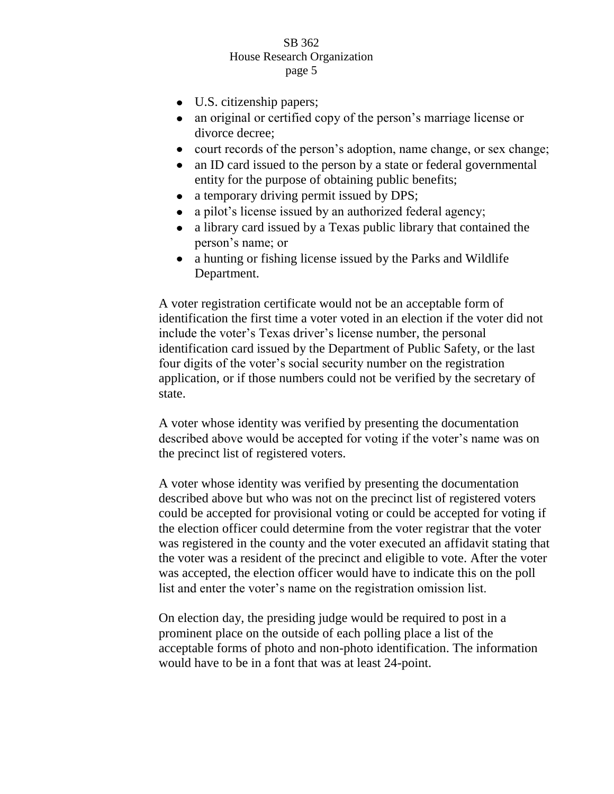- U.S. citizenship papers;
- an original or certified copy of the person's marriage license or divorce decree;
- court records of the person's adoption, name change, or sex change;
- $\bullet$ an ID card issued to the person by a state or federal governmental entity for the purpose of obtaining public benefits;
- a temporary driving permit issued by DPS;  $\bullet$
- a pilot's license issued by an authorized federal agency;  $\bullet$
- a library card issued by a Texas public library that contained the  $\bullet$ person's name; or
- a hunting or fishing license issued by the Parks and Wildlife Department.

A voter registration certificate would not be an acceptable form of identification the first time a voter voted in an election if the voter did not include the voter's Texas driver's license number, the personal identification card issued by the Department of Public Safety, or the last four digits of the voter's social security number on the registration application, or if those numbers could not be verified by the secretary of state.

A voter whose identity was verified by presenting the documentation described above would be accepted for voting if the voter's name was on the precinct list of registered voters.

A voter whose identity was verified by presenting the documentation described above but who was not on the precinct list of registered voters could be accepted for provisional voting or could be accepted for voting if the election officer could determine from the voter registrar that the voter was registered in the county and the voter executed an affidavit stating that the voter was a resident of the precinct and eligible to vote. After the voter was accepted, the election officer would have to indicate this on the poll list and enter the voter's name on the registration omission list.

On election day, the presiding judge would be required to post in a prominent place on the outside of each polling place a list of the acceptable forms of photo and non-photo identification. The information would have to be in a font that was at least 24-point.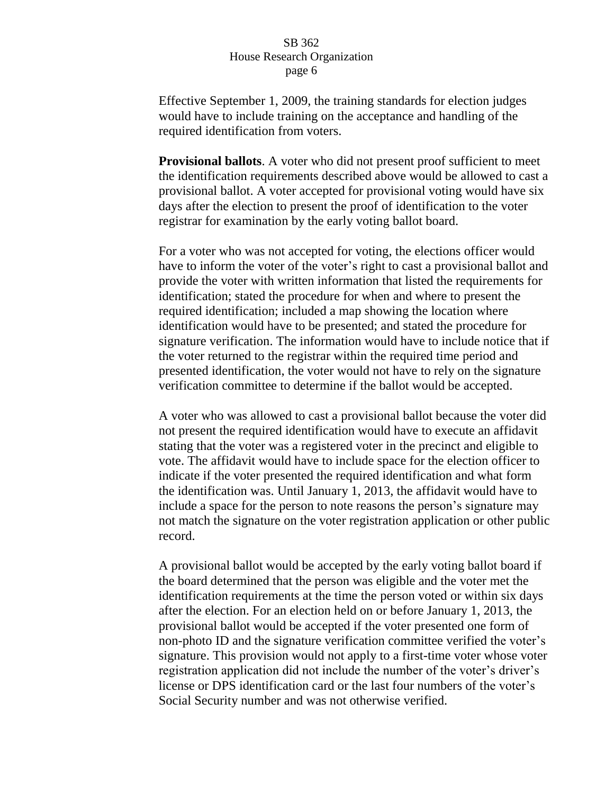Effective September 1, 2009, the training standards for election judges would have to include training on the acceptance and handling of the required identification from voters.

**Provisional ballots**. A voter who did not present proof sufficient to meet the identification requirements described above would be allowed to cast a provisional ballot. A voter accepted for provisional voting would have six days after the election to present the proof of identification to the voter registrar for examination by the early voting ballot board.

For a voter who was not accepted for voting, the elections officer would have to inform the voter of the voter's right to cast a provisional ballot and provide the voter with written information that listed the requirements for identification; stated the procedure for when and where to present the required identification; included a map showing the location where identification would have to be presented; and stated the procedure for signature verification. The information would have to include notice that if the voter returned to the registrar within the required time period and presented identification, the voter would not have to rely on the signature verification committee to determine if the ballot would be accepted.

A voter who was allowed to cast a provisional ballot because the voter did not present the required identification would have to execute an affidavit stating that the voter was a registered voter in the precinct and eligible to vote. The affidavit would have to include space for the election officer to indicate if the voter presented the required identification and what form the identification was. Until January 1, 2013, the affidavit would have to include a space for the person to note reasons the person's signature may not match the signature on the voter registration application or other public record.

A provisional ballot would be accepted by the early voting ballot board if the board determined that the person was eligible and the voter met the identification requirements at the time the person voted or within six days after the election. For an election held on or before January 1, 2013, the provisional ballot would be accepted if the voter presented one form of non-photo ID and the signature verification committee verified the voter's signature. This provision would not apply to a first-time voter whose voter registration application did not include the number of the voter's driver's license or DPS identification card or the last four numbers of the voter's Social Security number and was not otherwise verified.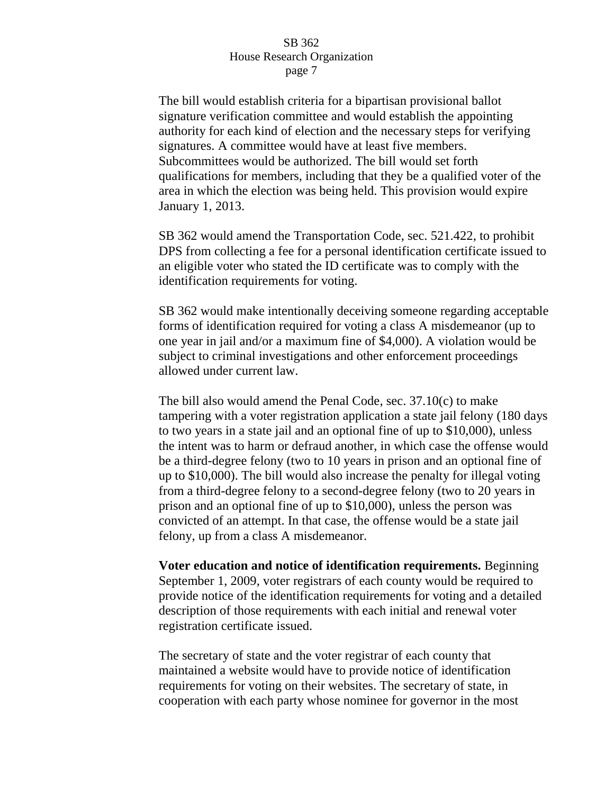The bill would establish criteria for a bipartisan provisional ballot signature verification committee and would establish the appointing authority for each kind of election and the necessary steps for verifying signatures. A committee would have at least five members. Subcommittees would be authorized. The bill would set forth qualifications for members, including that they be a qualified voter of the area in which the election was being held. This provision would expire January 1, 2013.

SB 362 would amend the Transportation Code, sec. 521.422, to prohibit DPS from collecting a fee for a personal identification certificate issued to an eligible voter who stated the ID certificate was to comply with the identification requirements for voting.

SB 362 would make intentionally deceiving someone regarding acceptable forms of identification required for voting a class A misdemeanor (up to one year in jail and/or a maximum fine of \$4,000). A violation would be subject to criminal investigations and other enforcement proceedings allowed under current law.

The bill also would amend the Penal Code, sec. 37.10(c) to make tampering with a voter registration application a state jail felony (180 days to two years in a state jail and an optional fine of up to \$10,000), unless the intent was to harm or defraud another, in which case the offense would be a third-degree felony (two to 10 years in prison and an optional fine of up to \$10,000). The bill would also increase the penalty for illegal voting from a third-degree felony to a second-degree felony (two to 20 years in prison and an optional fine of up to \$10,000), unless the person was convicted of an attempt. In that case, the offense would be a state jail felony, up from a class A misdemeanor.

**Voter education and notice of identification requirements.** Beginning September 1, 2009, voter registrars of each county would be required to provide notice of the identification requirements for voting and a detailed description of those requirements with each initial and renewal voter registration certificate issued.

The secretary of state and the voter registrar of each county that maintained a website would have to provide notice of identification requirements for voting on their websites. The secretary of state, in cooperation with each party whose nominee for governor in the most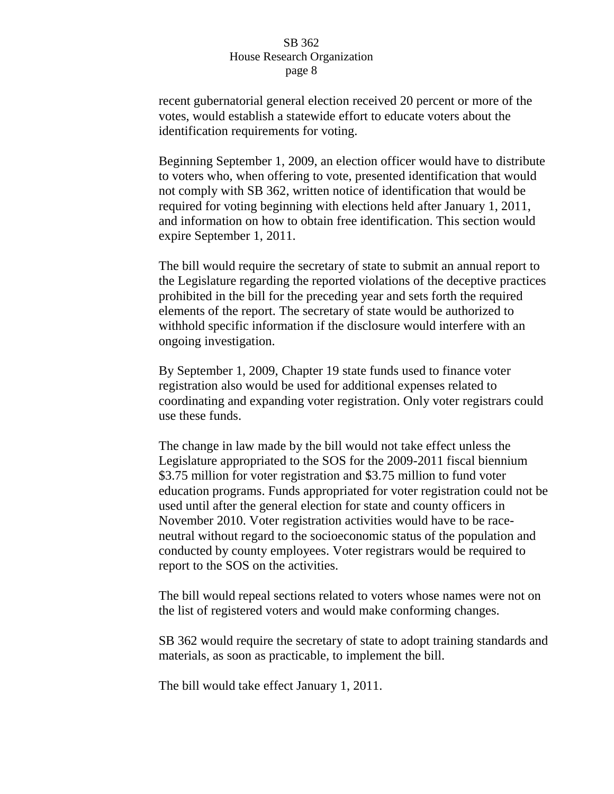recent gubernatorial general election received 20 percent or more of the votes, would establish a statewide effort to educate voters about the identification requirements for voting.

Beginning September 1, 2009, an election officer would have to distribute to voters who, when offering to vote, presented identification that would not comply with SB 362, written notice of identification that would be required for voting beginning with elections held after January 1, 2011, and information on how to obtain free identification. This section would expire September 1, 2011.

The bill would require the secretary of state to submit an annual report to the Legislature regarding the reported violations of the deceptive practices prohibited in the bill for the preceding year and sets forth the required elements of the report. The secretary of state would be authorized to withhold specific information if the disclosure would interfere with an ongoing investigation.

By September 1, 2009, Chapter 19 state funds used to finance voter registration also would be used for additional expenses related to coordinating and expanding voter registration. Only voter registrars could use these funds.

The change in law made by the bill would not take effect unless the Legislature appropriated to the SOS for the 2009-2011 fiscal biennium \$3.75 million for voter registration and \$3.75 million to fund voter education programs. Funds appropriated for voter registration could not be used until after the general election for state and county officers in November 2010. Voter registration activities would have to be raceneutral without regard to the socioeconomic status of the population and conducted by county employees. Voter registrars would be required to report to the SOS on the activities.

The bill would repeal sections related to voters whose names were not on the list of registered voters and would make conforming changes.

SB 362 would require the secretary of state to adopt training standards and materials, as soon as practicable, to implement the bill.

The bill would take effect January 1, 2011.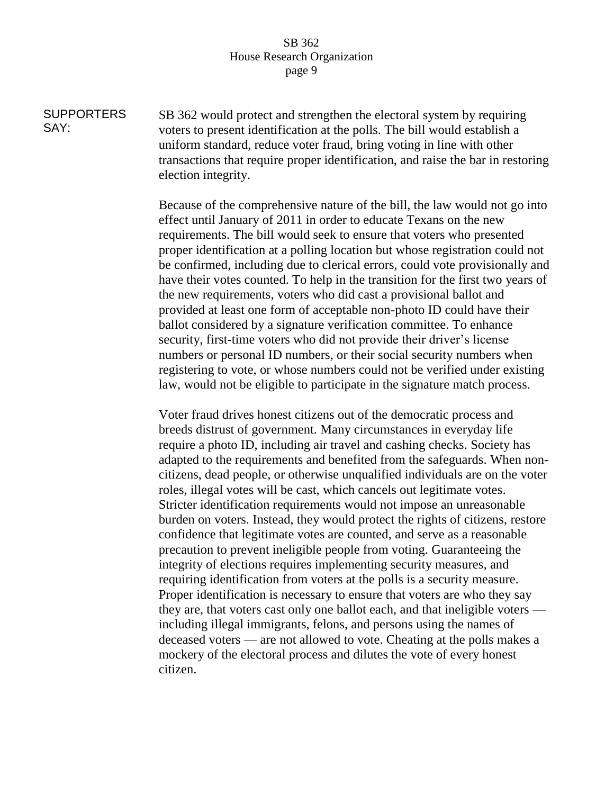**SUPPORTERS** SAY: SB 362 would protect and strengthen the electoral system by requiring voters to present identification at the polls. The bill would establish a uniform standard, reduce voter fraud, bring voting in line with other transactions that require proper identification, and raise the bar in restoring election integrity.

> Because of the comprehensive nature of the bill, the law would not go into effect until January of 2011 in order to educate Texans on the new requirements. The bill would seek to ensure that voters who presented proper identification at a polling location but whose registration could not be confirmed, including due to clerical errors, could vote provisionally and have their votes counted. To help in the transition for the first two years of the new requirements, voters who did cast a provisional ballot and provided at least one form of acceptable non-photo ID could have their ballot considered by a signature verification committee. To enhance security, first-time voters who did not provide their driver's license numbers or personal ID numbers, or their social security numbers when registering to vote, or whose numbers could not be verified under existing law, would not be eligible to participate in the signature match process.

> Voter fraud drives honest citizens out of the democratic process and breeds distrust of government. Many circumstances in everyday life require a photo ID, including air travel and cashing checks. Society has adapted to the requirements and benefited from the safeguards. When noncitizens, dead people, or otherwise unqualified individuals are on the voter roles, illegal votes will be cast, which cancels out legitimate votes. Stricter identification requirements would not impose an unreasonable burden on voters. Instead, they would protect the rights of citizens, restore confidence that legitimate votes are counted, and serve as a reasonable precaution to prevent ineligible people from voting. Guaranteeing the integrity of elections requires implementing security measures, and requiring identification from voters at the polls is a security measure. Proper identification is necessary to ensure that voters are who they say they are, that voters cast only one ballot each, and that ineligible voters including illegal immigrants, felons, and persons using the names of deceased voters — are not allowed to vote. Cheating at the polls makes a mockery of the electoral process and dilutes the vote of every honest citizen.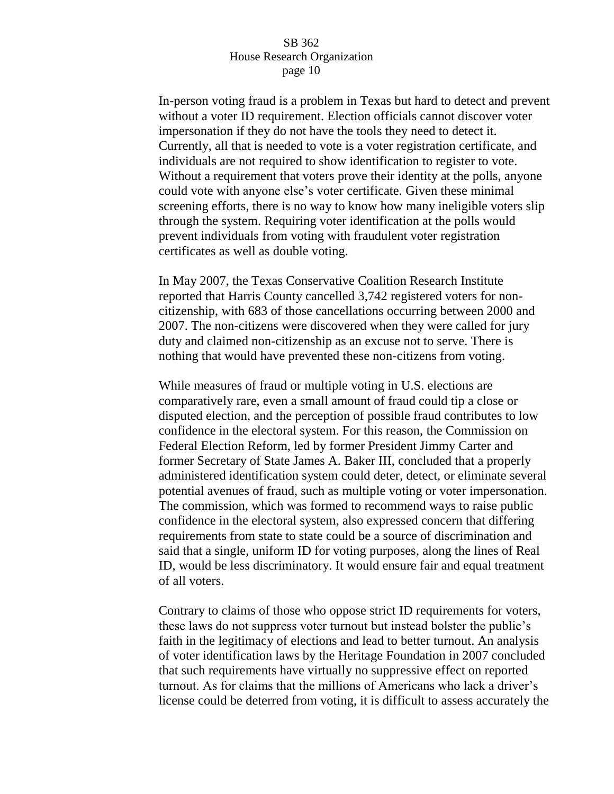In-person voting fraud is a problem in Texas but hard to detect and prevent without a voter ID requirement. Election officials cannot discover voter impersonation if they do not have the tools they need to detect it. Currently, all that is needed to vote is a voter registration certificate, and individuals are not required to show identification to register to vote. Without a requirement that voters prove their identity at the polls, anyone could vote with anyone else's voter certificate. Given these minimal screening efforts, there is no way to know how many ineligible voters slip through the system. Requiring voter identification at the polls would prevent individuals from voting with fraudulent voter registration certificates as well as double voting.

In May 2007, the Texas Conservative Coalition Research Institute reported that Harris County cancelled 3,742 registered voters for noncitizenship, with 683 of those cancellations occurring between 2000 and 2007. The non-citizens were discovered when they were called for jury duty and claimed non-citizenship as an excuse not to serve. There is nothing that would have prevented these non-citizens from voting.

While measures of fraud or multiple voting in U.S. elections are comparatively rare, even a small amount of fraud could tip a close or disputed election, and the perception of possible fraud contributes to low confidence in the electoral system. For this reason, the Commission on Federal Election Reform, led by former President Jimmy Carter and former Secretary of State James A. Baker III, concluded that a properly administered identification system could deter, detect, or eliminate several potential avenues of fraud, such as multiple voting or voter impersonation. The commission, which was formed to recommend ways to raise public confidence in the electoral system, also expressed concern that differing requirements from state to state could be a source of discrimination and said that a single, uniform ID for voting purposes, along the lines of Real ID, would be less discriminatory. It would ensure fair and equal treatment of all voters.

Contrary to claims of those who oppose strict ID requirements for voters, these laws do not suppress voter turnout but instead bolster the public's faith in the legitimacy of elections and lead to better turnout. An analysis of voter identification laws by the Heritage Foundation in 2007 concluded that such requirements have virtually no suppressive effect on reported turnout. As for claims that the millions of Americans who lack a driver's license could be deterred from voting, it is difficult to assess accurately the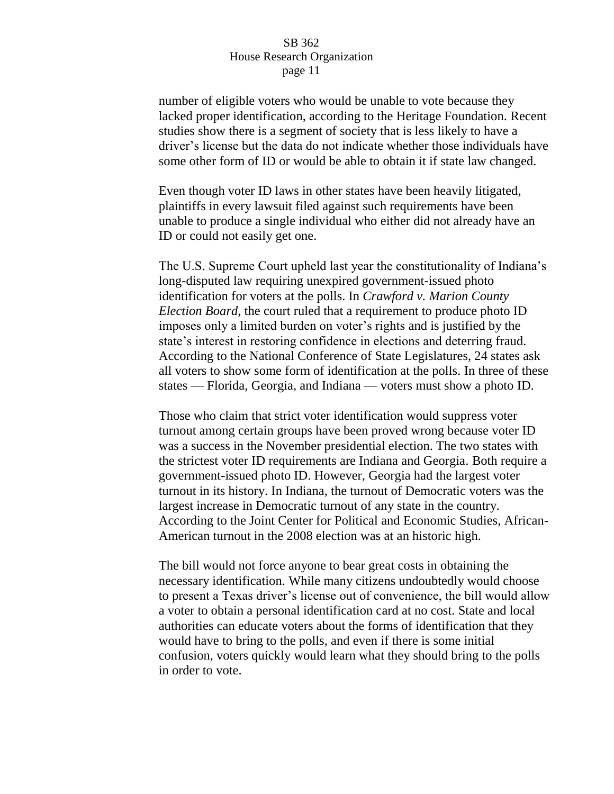number of eligible voters who would be unable to vote because they lacked proper identification, according to the Heritage Foundation. Recent studies show there is a segment of society that is less likely to have a driver's license but the data do not indicate whether those individuals have some other form of ID or would be able to obtain it if state law changed.

Even though voter ID laws in other states have been heavily litigated, plaintiffs in every lawsuit filed against such requirements have been unable to produce a single individual who either did not already have an ID or could not easily get one.

The U.S. Supreme Court upheld last year the constitutionality of Indiana's long-disputed law requiring unexpired government-issued photo identification for voters at the polls. In *Crawford v. Marion County Election Board*, the court ruled that a requirement to produce photo ID imposes only a limited burden on voter's rights and is justified by the state's interest in restoring confidence in elections and deterring fraud. According to the National Conference of State Legislatures, 24 states ask all voters to show some form of identification at the polls. In three of these states — Florida, Georgia, and Indiana — voters must show a photo ID.

Those who claim that strict voter identification would suppress voter turnout among certain groups have been proved wrong because voter ID was a success in the November presidential election. The two states with the strictest voter ID requirements are Indiana and Georgia. Both require a government-issued photo ID. However, Georgia had the largest voter turnout in its history. In Indiana, the turnout of Democratic voters was the largest increase in Democratic turnout of any state in the country. According to the Joint Center for Political and Economic Studies, African-American turnout in the 2008 election was at an historic high.

The bill would not force anyone to bear great costs in obtaining the necessary identification. While many citizens undoubtedly would choose to present a Texas driver's license out of convenience, the bill would allow a voter to obtain a personal identification card at no cost. State and local authorities can educate voters about the forms of identification that they would have to bring to the polls, and even if there is some initial confusion, voters quickly would learn what they should bring to the polls in order to vote.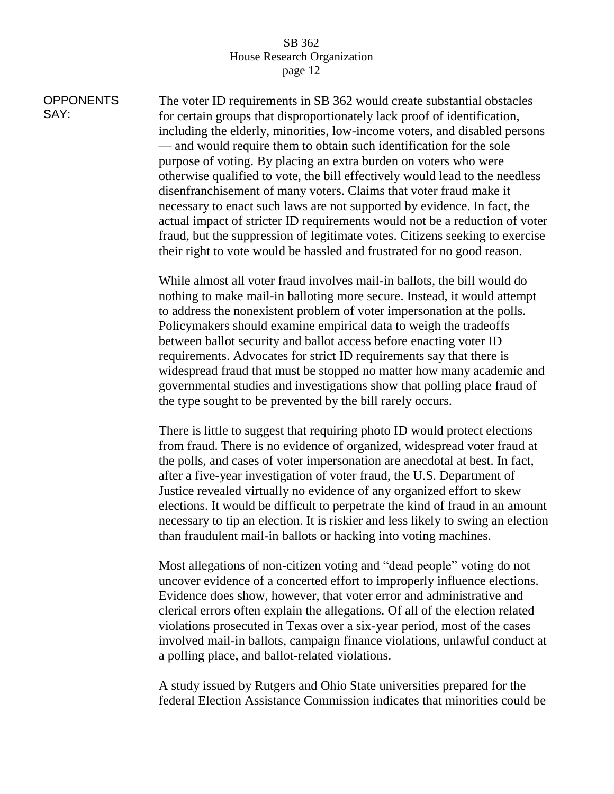SAY:

**OPPONENTS** The voter ID requirements in SB 362 would create substantial obstacles for certain groups that disproportionately lack proof of identification, including the elderly, minorities, low-income voters, and disabled persons — and would require them to obtain such identification for the sole purpose of voting. By placing an extra burden on voters who were otherwise qualified to vote, the bill effectively would lead to the needless disenfranchisement of many voters. Claims that voter fraud make it necessary to enact such laws are not supported by evidence. In fact, the actual impact of stricter ID requirements would not be a reduction of voter fraud, but the suppression of legitimate votes. Citizens seeking to exercise their right to vote would be hassled and frustrated for no good reason.

> While almost all voter fraud involves mail-in ballots, the bill would do nothing to make mail-in balloting more secure. Instead, it would attempt to address the nonexistent problem of voter impersonation at the polls. Policymakers should examine empirical data to weigh the tradeoffs between ballot security and ballot access before enacting voter ID requirements. Advocates for strict ID requirements say that there is widespread fraud that must be stopped no matter how many academic and governmental studies and investigations show that polling place fraud of the type sought to be prevented by the bill rarely occurs.

> There is little to suggest that requiring photo ID would protect elections from fraud. There is no evidence of organized, widespread voter fraud at the polls, and cases of voter impersonation are anecdotal at best. In fact, after a five-year investigation of voter fraud, the U.S. Department of Justice revealed virtually no evidence of any organized effort to skew elections. It would be difficult to perpetrate the kind of fraud in an amount necessary to tip an election. It is riskier and less likely to swing an election than fraudulent mail-in ballots or hacking into voting machines.

> Most allegations of non-citizen voting and "dead people" voting do not uncover evidence of a concerted effort to improperly influence elections. Evidence does show, however, that voter error and administrative and clerical errors often explain the allegations. Of all of the election related violations prosecuted in Texas over a six-year period, most of the cases involved mail-in ballots, campaign finance violations, unlawful conduct at a polling place, and ballot-related violations.

> A study issued by Rutgers and Ohio State universities prepared for the federal Election Assistance Commission indicates that minorities could be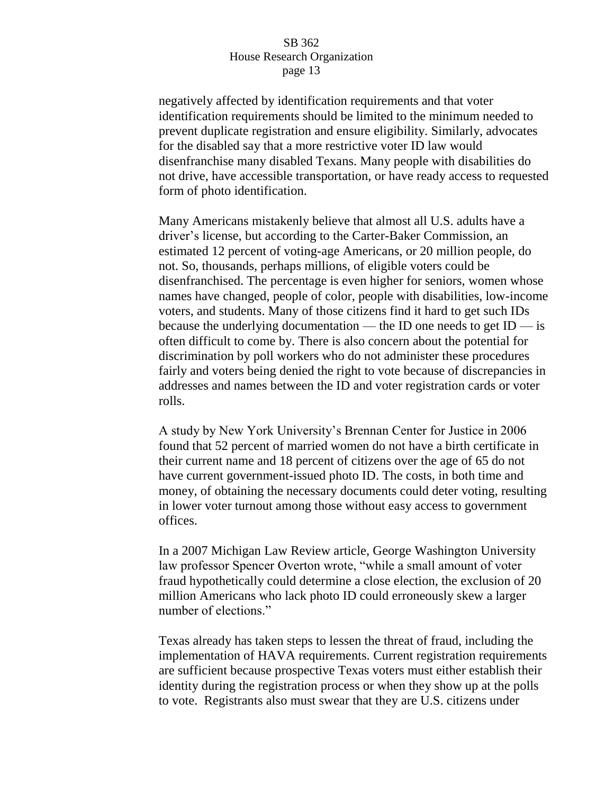negatively affected by identification requirements and that voter identification requirements should be limited to the minimum needed to prevent duplicate registration and ensure eligibility. Similarly, advocates for the disabled say that a more restrictive voter ID law would disenfranchise many disabled Texans. Many people with disabilities do not drive, have accessible transportation, or have ready access to requested form of photo identification.

Many Americans mistakenly believe that almost all U.S. adults have a driver's license, but according to the Carter-Baker Commission, an estimated 12 percent of voting-age Americans, or 20 million people, do not. So, thousands, perhaps millions, of eligible voters could be disenfranchised. The percentage is even higher for seniors, women whose names have changed, people of color, people with disabilities, low-income voters, and students. Many of those citizens find it hard to get such IDs because the underlying documentation — the ID one needs to get  $ID$  — is often difficult to come by. There is also concern about the potential for discrimination by poll workers who do not administer these procedures fairly and voters being denied the right to vote because of discrepancies in addresses and names between the ID and voter registration cards or voter rolls.

A study by New York University's Brennan Center for Justice in 2006 found that 52 percent of married women do not have a birth certificate in their current name and 18 percent of citizens over the age of 65 do not have current government-issued photo ID. The costs, in both time and money, of obtaining the necessary documents could deter voting, resulting in lower voter turnout among those without easy access to government offices.

In a 2007 Michigan Law Review article, George Washington University law professor Spencer Overton wrote, "while a small amount of voter fraud hypothetically could determine a close election, the exclusion of 20 million Americans who lack photo ID could erroneously skew a larger number of elections."

Texas already has taken steps to lessen the threat of fraud, including the implementation of HAVA requirements. Current registration requirements are sufficient because prospective Texas voters must either establish their identity during the registration process or when they show up at the polls to vote. Registrants also must swear that they are U.S. citizens under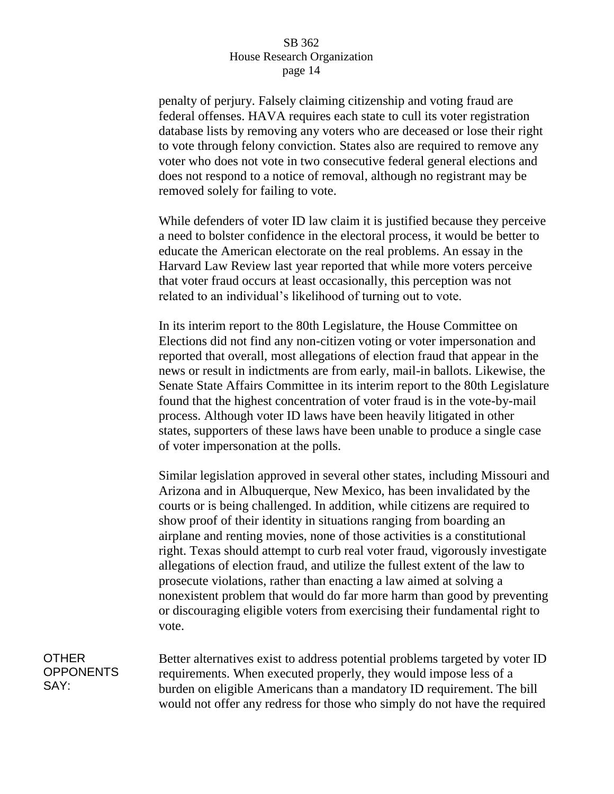penalty of perjury. Falsely claiming citizenship and voting fraud are federal offenses. HAVA requires each state to cull its voter registration database lists by removing any voters who are deceased or lose their right to vote through felony conviction. States also are required to remove any voter who does not vote in two consecutive federal general elections and does not respond to a notice of removal, although no registrant may be removed solely for failing to vote.

While defenders of voter ID law claim it is justified because they perceive a need to bolster confidence in the electoral process, it would be better to educate the American electorate on the real problems. An essay in the Harvard Law Review last year reported that while more voters perceive that voter fraud occurs at least occasionally, this perception was not related to an individual's likelihood of turning out to vote.

In its interim report to the 80th Legislature, the House Committee on Elections did not find any non-citizen voting or voter impersonation and reported that overall, most allegations of election fraud that appear in the news or result in indictments are from early, mail-in ballots. Likewise, the Senate State Affairs Committee in its interim report to the 80th Legislature found that the highest concentration of voter fraud is in the vote-by-mail process. Although voter ID laws have been heavily litigated in other states, supporters of these laws have been unable to produce a single case of voter impersonation at the polls.

Similar legislation approved in several other states, including Missouri and Arizona and in Albuquerque, New Mexico, has been invalidated by the courts or is being challenged. In addition, while citizens are required to show proof of their identity in situations ranging from boarding an airplane and renting movies, none of those activities is a constitutional right. Texas should attempt to curb real voter fraud, vigorously investigate allegations of election fraud, and utilize the fullest extent of the law to prosecute violations, rather than enacting a law aimed at solving a nonexistent problem that would do far more harm than good by preventing or discouraging eligible voters from exercising their fundamental right to vote.

OTHER **OPPONENTS** SAY: Better alternatives exist to address potential problems targeted by voter ID requirements. When executed properly, they would impose less of a burden on eligible Americans than a mandatory ID requirement. The bill would not offer any redress for those who simply do not have the required